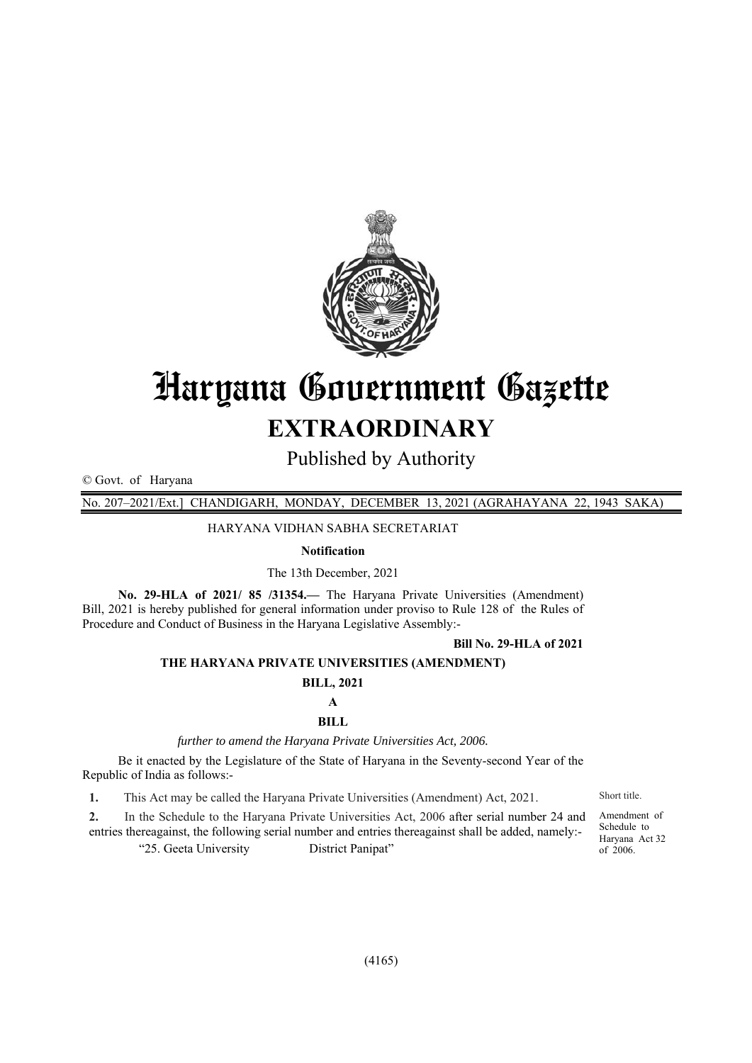

# Haryana Government Gazette **EXTRAORDINARY**

Published by Authority

© Govt. of Haryana

No. 207–2021/Ext.] CHANDIGARH, MONDAY, DECEMBER 13, 2021 (AGRAHAYANA 22, 1943 SAKA)

HARYANA VIDHAN SABHA SECRETARIAT

### **Notification**

The 13th December, 2021

**No. 29-HLA of 2021/ 85 /31354.—** The Haryana Private Universities (Amendment) Bill, 2021 is hereby published for general information under proviso to Rule 128 of the Rules of Procedure and Conduct of Business in the Haryana Legislative Assembly:-

#### **Bill No. 29-HLA of 2021**

#### **THE HARYANA PRIVATE UNIVERSITIES (AMENDMENT)**

#### **BILL, 2021**

#### **A**

#### **BILL**

*further to amend the Haryana Private Universities Act, 2006.* 

Be it enacted by the Legislature of the State of Haryana in the Seventy-second Year of the Republic of India as follows:-

**1.** This Act may be called the Haryana Private Universities (Amendment) Act, 2021. Short title.

**2.** In the Schedule to the Haryana Private Universities Act, 2006 after serial number 24 and entries thereagainst, the following serial number and entries thereagainst shall be added, namely:- "25. Geeta University District Panipat"

Amendment of Schedule to Haryana Act 32 of 2006.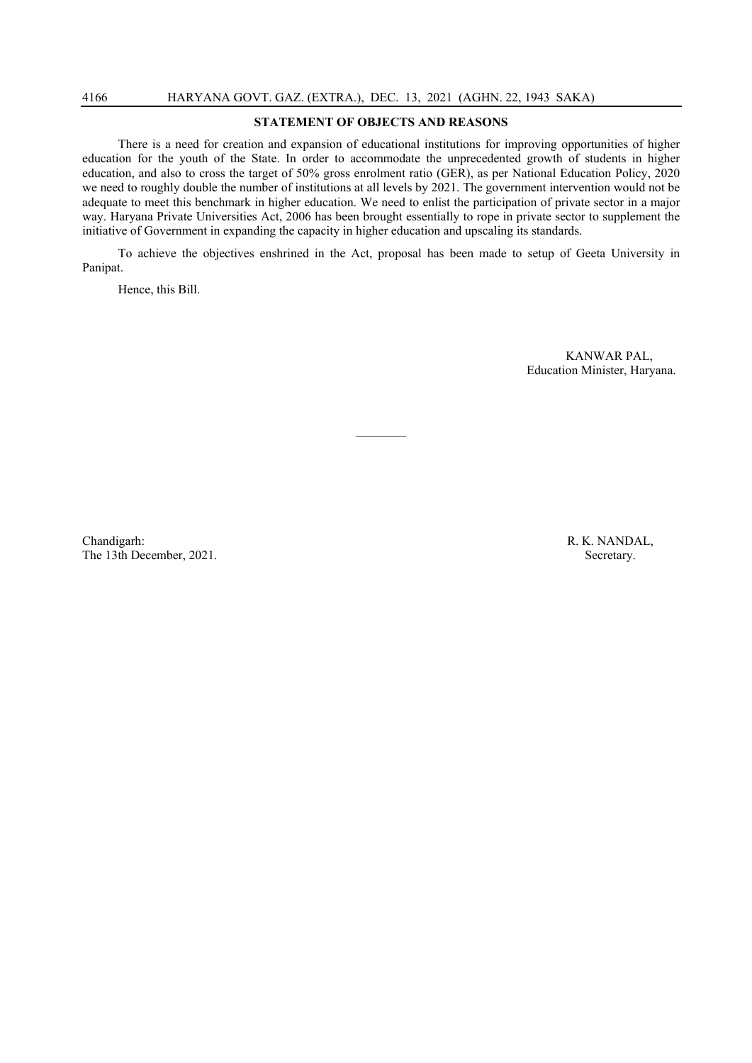## **STATEMENT OF OBJECTS AND REASONS**

There is a need for creation and expansion of educational institutions for improving opportunities of higher education for the youth of the State. In order to accommodate the unprecedented growth of students in higher education, and also to cross the target of 50% gross enrolment ratio (GER), as per National Education Policy, 2020 we need to roughly double the number of institutions at all levels by 2021. The government intervention would not be adequate to meet this benchmark in higher education. We need to enlist the participation of private sector in a major way. Haryana Private Universities Act, 2006 has been brought essentially to rope in private sector to supplement the initiative of Government in expanding the capacity in higher education and upscaling its standards.

To achieve the objectives enshrined in the Act, proposal has been made to setup of Geeta University in Panipat.

Hence, this Bill.

 KANWAR PAL, Education Minister, Haryana.

Chandigarh: R. K. NANDAL, The 13th December, 2021. Secretary.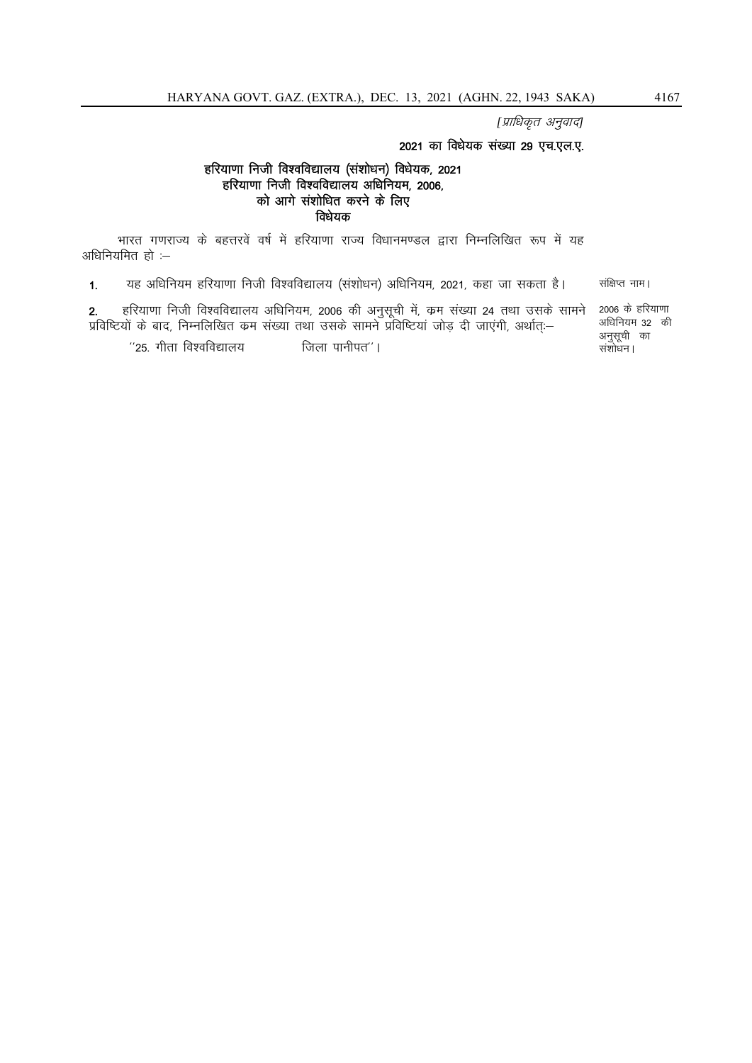[प्राधिकृत अनुवाद]

## 2021 का विधेयक संख्या 29 एच.एल.ए.

## हरियाणा निजी विश्वविद्यालय (संशोधन) विधेयक, 2021  $\varepsilon$ हरियाणा निजी विश्वविद्यालय अधिनियम, 2006, को आगे संशोधित करने के लिए विधेयक

भारत गणराज्य के बहत्तरवें वर्ष में हरियाणा राज्य विधानमण्डल द्वारा निम्नलिखित रूप में यह अधिनियमित $\tilde{\epsilon}$ ों:-

1. यह अधिनियम हरियाणा निजी विश्वविद्यालय (संशोधन) अधिनियम. 2021. कहा जा सकता है। संक्षिप्त नाम।

2. हरियाणा निजी विश्वविद्यालय अधिनियम, 2006 की अनुसूची में, क्रम संख्या 24 तथा उसके सामने ...<br>प्रविष्टियों के बाद, निम्नलिखित कम संख्या तथा उसके सामने प्रविष्टियां जोड दी जाएंगी, अर्थात:-

 $^{\prime\prime}$ 25. गीता विश्वविद्यालय $^{\prime\prime}$  is the solution of  $^{\prime\prime}$  in  $^{\prime\prime}$ 

2006 के हरियाणा अधिनियम 32 की अनुसूची का संशोधन।